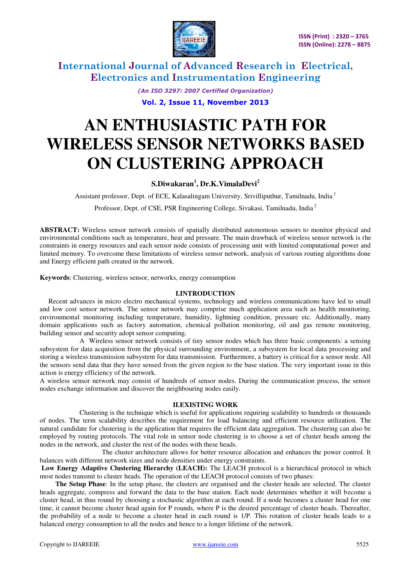

*(An ISO 3297: 2007 Certified Organization)* 

**Vol. 2, Issue 11, November 2013** 

# **AN ENTHUSIASTIC PATH FOR WIRELESS SENSOR NETWORKS BASED ON CLUSTERING APPROACH**

### **S.Diwakaran<sup>1</sup> , Dr.K.VimalaDevi<sup>2</sup>**

Assistant professor, Dept. of ECE, Kalasalingam University, Srivilliputhur, Tamilnadu, India<sup>1</sup>

Professor, Dept. of CSE, PSR Engineering College, Sivakasi, Tamilnadu, India<sup>2</sup>

**ABSTRACT:** Wireless sensor network consists of spatially distributed autonomous sensors to monitor physical and environmental conditions such as temperature, heat and pressure. The main drawback of wireless sensor network is the constraints in energy resources and each sensor node consists of processing unit with limited computational power and limited memory. To overcome these limitations of wireless sensor network, analysis of various routing algorithms done and Energy efficient path created in the network.

**Keywords**: Clustering, wireless sensor, networks, energy consumption

#### **I.INTRODUCTION**

 Recent advances in micro electro mechanical systems, technology and wireless communications have led to small and low cost sensor network. The sensor network may comprise much application area such as health monitoring, environmental monitoring including temperature, humidity, lightning condition, pressure etc. Additionally, many domain applications such as factory automation, chemical pollution monitoring, oil and gas remote monitoring, building sensor and security adopt sensor computing.

 A Wireless sensor network consists of tiny sensor nodes which has three basic components: a sensing subsystem for data acquisition from the physical surrounding environment, a subsystem for local data processing and storing a wireless transmission subsystem for data transmission. Furthermore, a battery is critical for a sensor node. All the sensors send data that they have sensed from the given region to the base station. The very important issue in this action is energy efficiency of the network.

A wireless sensor network may consist of hundreds of sensor nodes. During the communication process, the sensor nodes exchange information and discover the neighbouring nodes easily.

#### **II.EXISTING WORK**

Clustering is the technique which is useful for applications requiring scalability to hundreds or thousands of nodes. The term scalability describes the requirement for load balancing and efficient resource utilization. The natural candidate for clustering is the application that requires the efficient data aggregation. The clustering can also be employed by routing protocols. The vital role in sensor node clustering is to choose a set of cluster heads among the nodes in the network, and cluster the rest of the nodes with these heads.

 The cluster architecture allows for better resource allocation and enhances the power control. It balances with different network sizes and node densities under energy constraints.

 **Low Energy Adaptive Clustering Hierarchy (LEACH):** The LEACH protocol is a hierarchical protocol in which most nodes transmit to cluster heads. The operation of the LEACH protocol consists of two phases:

 **The Setup Phase**: In the setup phase, the clusters are organised and the cluster heads are selected. The cluster heads aggregate, compress and forward the data to the base station. Each node determines whether it will become a cluster head, in thus round by choosing a stochastic algorithm at each round. If a node becomes a cluster head for one time, it cannot become cluster head again for P rounds, where P is the desired percentage of cluster heads. Thereafter, the probability of a node to become a cluster head in each round is 1/P. This rotation of cluster heads leads to a balanced energy consumption to all the nodes and hence to a longer lifetime of the network.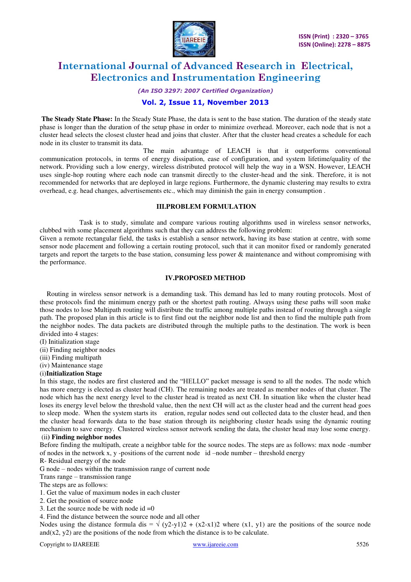

#### *(An ISO 3297: 2007 Certified Organization)*

#### **Vol. 2, Issue 11, November 2013**

**The Steady State Phase:** In the Steady State Phase, the data is sent to the base station. The duration of the steady state phase is longer than the duration of the setup phase in order to minimize overhead. Moreover, each node that is not a cluster head selects the closest cluster head and joins that cluster. After that the cluster head creates a schedule for each node in its cluster to transmit its data.

 The main advantage of LEACH is that it outperforms conventional communication protocols, in terms of energy dissipation, ease of configuration, and system lifetime/quality of the network. Providing such a low energy, wireless distributed protocol will help the way in a WSN. However, LEACH uses single-hop routing where each node can transmit directly to the cluster-head and the sink. Therefore, it is not recommended for networks that are deployed in large regions. Furthermore, the dynamic clustering may results to extra overhead, e.g. head changes, advertisements etc., which may diminish the gain in energy consumption .

#### **III.PROBLEM FORMULATION**

 Task is to study, simulate and compare various routing algorithms used in wireless sensor networks, clubbed with some placement algorithms such that they can address the following problem:

Given a remote rectangular field, the tasks is establish a sensor network, having its base station at centre, with some sensor node placement and following a certain routing protocol, such that it can monitor fixed or randomly generated targets and report the targets to the base station, consuming less power & maintenance and without compromising with the performance.

#### **IV.PROPOSED METHOD**

Routing in wireless sensor network is a demanding task. This demand has led to many routing protocols. Most of these protocols find the minimum energy path or the shortest path routing. Always using these paths will soon make those nodes to lose Multipath routing will distribute the traffic among multiple paths instead of routing through a single path. The proposed plan in this article is to first find out the neighbor node list and then to find the multiple path from the neighbor nodes. The data packets are distributed through the multiple paths to the destination. The work is been divided into 4 stages:

- (I) Initialization stage
- (ii) Finding neighbor nodes
- (iii) Finding multipath
- (iv) Maintenance stage

#### (i)**Initialization Stage**

In this stage, the nodes are first clustered and the "HELLO" packet message is send to all the nodes. The node which has more energy is elected as cluster head (CH). The remaining nodes are treated as member nodes of that cluster. The node which has the next energy level to the cluster head is treated as next CH. In situation like when the cluster head loses its energy level below the threshold value, then the next CH will act as the cluster head and the current head goes to sleep mode. When the system starts its eration, regular nodes send out collected data to the cluster head, and then the cluster head forwards data to the base station through its neighboring cluster heads using the dynamic routing mechanism to save energy. Clustered wireless sensor network sending the data, the cluster head may lose some energy. (ii**) Finding neighbor nodes**

Before finding the multipath, create a neighbor table for the source nodes. The steps are as follows: max node -number of nodes in the network x, y -positions of the current node id –node number – threshold energy

R- Residual energy of the node

G node – nodes within the transmission range of current node

Trans range – transmission range

The steps are as follows:

- 1. Get the value of maximum nodes in each cluster
- 2. Get the position of source node
- 3. Let the source node be with node  $id = 0$

4. Find the distance between the source node and all other

Nodes using the distance formula dis =  $\sqrt{(y^2-y^2)^2 + (x^2-x^2)^2}$  where (x1, y1) are the positions of the source node and( $x2$ ,  $y2$ ) are the positions of the node from which the distance is to be calculate.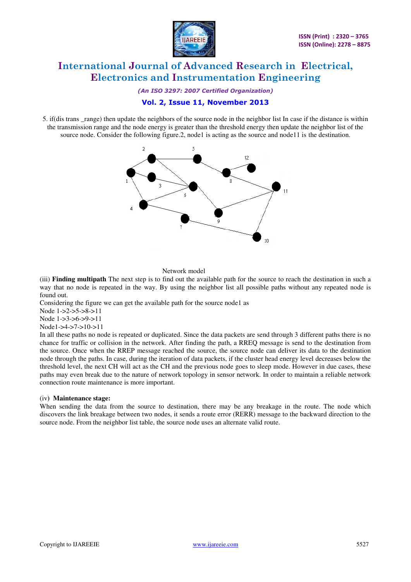

*(An ISO 3297: 2007 Certified Organization)* 

#### **Vol. 2, Issue 11, November 2013**

5. if(dis trans \_range) then update the neighbors of the source node in the neighbor list In case if the distance is within the transmission range and the node energy is greater than the threshold energy then update the neighbor list of the source node. Consider the following figure.2, node1 is acting as the source and node11 is the destination.



#### Network model

(iii) **Finding multipath** The next step is to find out the available path for the source to reach the destination in such a way that no node is repeated in the way. By using the neighbor list all possible paths without any repeated node is found out.

Considering the figure we can get the available path for the source node1 as

Node 1->2->5->8->11

Node 1->3->6->9->11

Node1->4->7->10->11

In all these paths no node is repeated or duplicated. Since the data packets are send through 3 different paths there is no chance for traffic or collision in the network. After finding the path, a RREQ message is send to the destination from the source. Once when the RREP message reached the source, the source node can deliver its data to the destination node through the paths. In case, during the iteration of data packets, if the cluster head energy level decreases below the threshold level, the next CH will act as the CH and the previous node goes to sleep mode. However in due cases, these paths may even break due to the nature of network topology in sensor network. In order to maintain a reliable network connection route maintenance is more important.

#### (iv**) Maintenance stage:**

When sending the data from the source to destination, there may be any breakage in the route. The node which discovers the link breakage between two nodes, it sends a route error (RERR) message to the backward direction to the source node. From the neighbor list table, the source node uses an alternate valid route.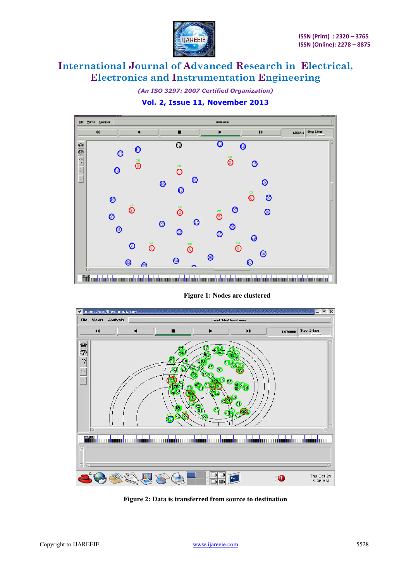

*(An ISO 3297: 2007 Certified Organization)* 

**Vol. 2, Issue 11, November 2013** 



**Figure 1: Nodes are clustered**



**Figure 2: Data is transferred from source to destination**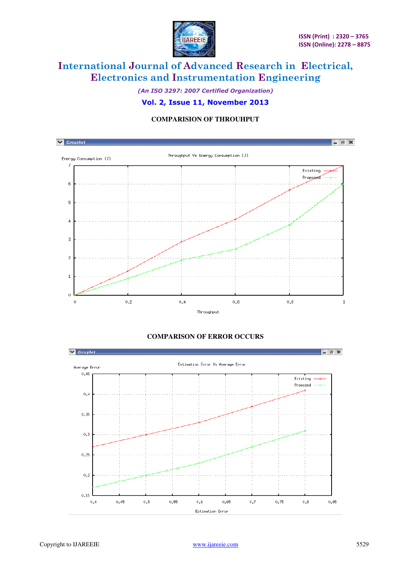

*(An ISO 3297: 2007 Certified Organization)* 

#### **Vol. 2, Issue 11, November 2013**

### **COMPARISION OF THROUHPUT**



### **COMPARISON OF ERROR OCCURS**